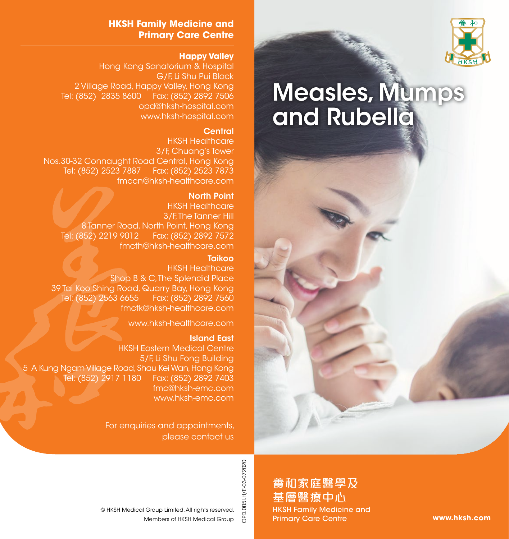

# Measles, Mumps and Rubella

#### **HKSH Family Medicine and Primary Care Centre**

#### **Happy Valley**

Hong Kong Sanatorium & Hospital G/F, Li Shu Pui Block 2 Village Road, Happy Valley, Hong Kong Tel: (852) 2835 8600 Fax: (852) 2892 7506 opd@hksh-hospital.com www.hksh-hospital.com

#### **Central**

HKSH Healthcare 3/F, Chuang's Tower Nos.30-32 Connaught Road Central, Hong Kong Tel: (852) 2523 7887 Fax: (852) 2523 7873 fmccn@hksh-healthcare.com

#### North Point

HKSH Healthcare 3/F. The Tanner Hill 8 Tanner Road, North Point, Hong Kong Tel: (852) 2219 9012 Fax: (852) 2892 7572 fmcth@hksh-healthcare.com

#### Taikoo

HKSH Healthcare Shop B & C. The Splendid Place 39 Tai Koo Shing Road, Quarry Bay, Hong Kong Tel: (852) 2563 6655 Fax: (852) 2892 7560 fmctk@hksh-healthcare.com

www.hksh-healthcare.com

#### Island East

HKSH Eastern Medical Centre 5/F, Li Shu Fong Building 5 A Kung Ngam Village Road, Shau Kei Wan, Hong Kong Tel: (852) 2917 1180 Fax: (852) 2892 7403 fmc@hksh-emc.com www.hksh-emc.com

> For enquiries and appointments, please contact us

> > 養和家庭醫學及 基層醫療中心 HKSH Family Medicine and Primary Care Centre

**www.hksh.com**

OPD.005I.H/E-03-072020

OPD.005I.H/E-03-072020

Members of HKSH Medical Group © HKSH Medical Group Limited. All rights reserved.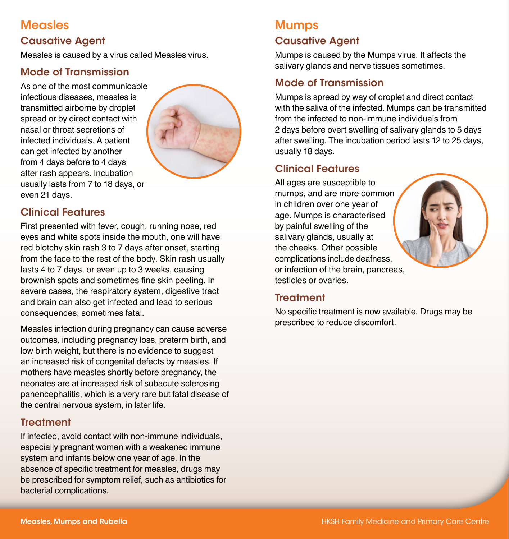# **Measles**

## Causative Agent

Measles is caused by a virus called Measles virus.

## Mode of Transmission

As one of the most communicable infectious diseases, measles is transmitted airborne by droplet spread or by direct contact with nasal or throat secretions of infected individuals. A patient can get infected by another from 4 days before to 4 days after rash appears. Incubation usually lasts from 7 to 18 days, or even 21 days.



# Clinical Features

First presented with fever, cough, running nose, red eyes and white spots inside the mouth, one will have red blotchy skin rash 3 to 7 days after onset, starting from the face to the rest of the body. Skin rash usually lasts 4 to 7 days, or even up to 3 weeks, causing brownish spots and sometimes fine skin peeling. In severe cases, the respiratory system, digestive tract and brain can also get infected and lead to serious consequences, sometimes fatal.

Measles infection during pregnancy can cause adverse outcomes, including pregnancy loss, preterm birth, and low birth weight, but there is no evidence to suggest an increased risk of congenital defects by measles. If mothers have measles shortly before pregnancy, the neonates are at increased risk of subacute sclerosing panencephalitis, which is a very rare but fatal disease of the central nervous system, in later life.

#### **Treatment**

If infected, avoid contact with non-immune individuals, especially pregnant women with a weakened immune system and infants below one year of age. In the absence of specific treatment for measles, drugs may be prescribed for symptom relief, such as antibiotics for bacterial complications.

# Mumps

# Causative Agent

Mumps is caused by the Mumps virus. It affects the salivary glands and nerve tissues sometimes.

# Mode of Transmission

Mumps is spread by way of droplet and direct contact with the saliva of the infected. Mumps can be transmitted from the infected to non-immune individuals from 2 days before overt swelling of salivary glands to 5 days after swelling. The incubation period lasts 12 to 25 days, usually 18 days.

# Clinical Features

All ages are susceptible to mumps, and are more common in children over one year of age. Mumps is characterised by painful swelling of the salivary glands, usually at the cheeks. Other possible complications include deafness, or infection of the brain, pancreas, testicles or ovaries.



No specific treatment is now available. Drugs may be prescribed to reduce discomfort.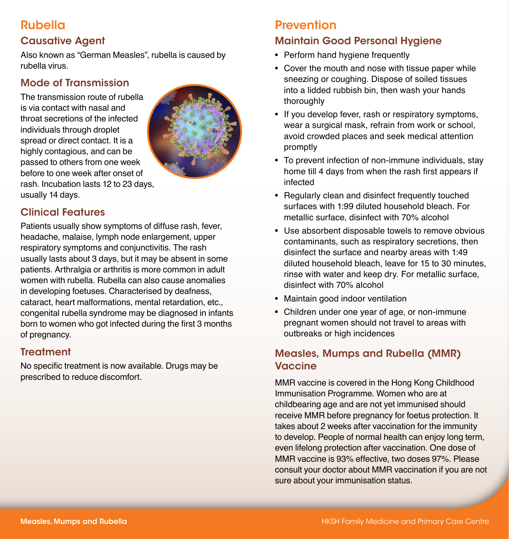# Rubella

# Causative Agent

Also known as "German Measles", rubella is caused by rubella virus.

# Mode of Transmission

The transmission route of rubella is via contact with nasal and throat secretions of the infected individuals through droplet spread or direct contact. It is a highly contagious, and can be passed to others from one week before to one week after onset of rash. Incubation lasts 12 to 23 days, usually 14 days.



# Clinical Features

Patients usually show symptoms of diffuse rash, fever, headache, malaise, lymph node enlargement, upper respiratory symptoms and conjunctivitis. The rash usually lasts about 3 days, but it may be absent in some patients. Arthralgia or arthritis is more common in adult women with rubella. Rubella can also cause anomalies in developing foetuses. Characterised by deafness, cataract, heart malformations, mental retardation, etc., congenital rubella syndrome may be diagnosed in infants born to women who got infected during the first 3 months of pregnancy.

## **Treatment**

No specific treatment is now available. Drugs may be prescribed to reduce discomfort.

# **Prevention**

# Maintain Good Personal Hygiene

- Perform hand hygiene frequently
- Cover the mouth and nose with tissue paper while sneezing or coughing. Dispose of soiled tissues into a lidded rubbish bin, then wash your hands thoroughly
- If you develop fever, rash or respiratory symptoms, wear a surgical mask, refrain from work or school, avoid crowded places and seek medical attention promptly
- To prevent infection of non-immune individuals, stay home till 4 days from when the rash first appears if infected
- Regularly clean and disinfect frequently touched surfaces with 1:99 diluted household bleach. For metallic surface, disinfect with 70% alcohol
- Use absorbent disposable towels to remove obvious contaminants, such as respiratory secretions, then disinfect the surface and nearby areas with 1:49 diluted household bleach, leave for 15 to 30 minutes, rinse with water and keep dry. For metallic surface, disinfect with 70% alcohol
- Maintain good indoor ventilation
- Children under one year of age, or non-immune pregnant women should not travel to areas with outbreaks or high incidences

# Measles, Mumps and Rubella (MMR) **Vaccine**

MMR vaccine is covered in the Hong Kong Childhood Immunisation Programme. Women who are at childbearing age and are not yet immunised should receive MMR before pregnancy for foetus protection. It takes about 2 weeks after vaccination for the immunity to develop. People of normal health can enjoy long term, even lifelong protection after vaccination. One dose of MMR vaccine is 93% effective, two doses 97%. Please consult your doctor about MMR vaccination if you are not sure about your immunisation status.